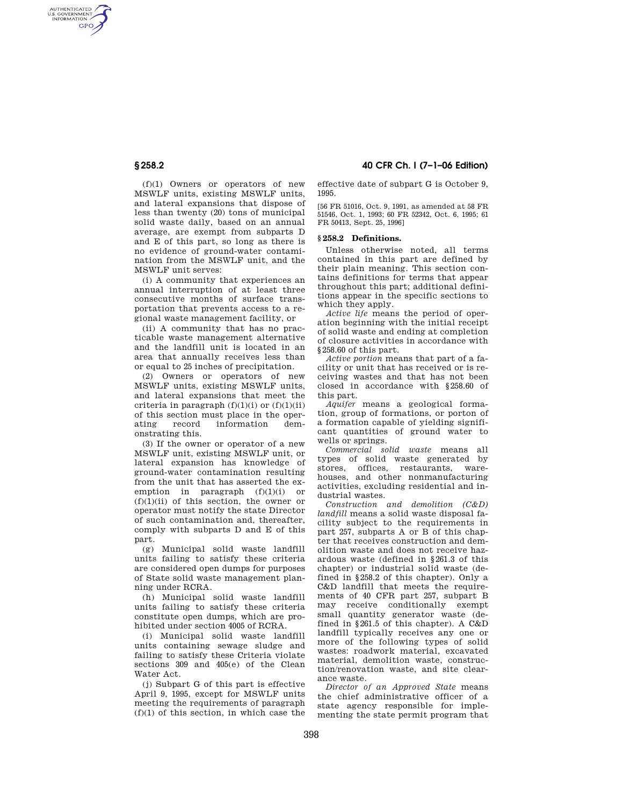AUTHENTICATED<br>U.S. GOVERNMENT<br>INFORMATION **GPO** 

> (f)(1) Owners or operators of new MSWLF units, existing MSWLF units, and lateral expansions that dispose of less than twenty (20) tons of municipal solid waste daily, based on an annual average, are exempt from subparts D and E of this part, so long as there is no evidence of ground-water contamination from the MSWLF unit, and the MSWLF unit serves:

> (i) A community that experiences an annual interruption of at least three consecutive months of surface transportation that prevents access to a regional waste management facility, or

> (ii) A community that has no practicable waste management alternative and the landfill unit is located in an area that annually receives less than or equal to 25 inches of precipitation.

> (2) Owners or operators of new MSWLF units, existing MSWLF units, and lateral expansions that meet the criteria in paragraph  $(f)(1)(i)$  or  $(f)(1)(ii)$ of this section must place in the operating record information demonstrating this.

> (3) If the owner or operator of a new MSWLF unit, existing MSWLF unit, or lateral expansion has knowledge of ground-water contamination resulting from the unit that has asserted the exemption in paragraph  $(f)(1)(i)$  or  $(f)(1)(ii)$  of this section, the owner or operator must notify the state Director of such contamination and, thereafter, comply with subparts D and E of this part.

> (g) Municipal solid waste landfill units failing to satisfy these criteria are considered open dumps for purposes of State solid waste management planning under RCRA.

> (h) Municipal solid waste landfill units failing to satisfy these criteria constitute open dumps, which are prohibited under section 4005 of RCRA.

(i) Municipal solid waste landfill units containing sewage sludge and failing to satisfy these Criteria violate sections 309 and 405(e) of the Clean Water Act.

(j) Subpart G of this part is effective April 9, 1995, except for MSWLF units meeting the requirements of paragraph  $(f)(1)$  of this section, in which case the

**§ 258.2 40 CFR Ch. I (7–1–06 Edition)** 

effective date of subpart G is October 9, 1995.

[56 FR 51016, Oct. 9, 1991, as amended at 58 FR 51546, Oct. 1, 1993; 60 FR 52342, Oct. 6, 1995; 61 FR 50413, Sept. 25, 1996]

## **§ 258.2 Definitions.**

Unless otherwise noted, all terms contained in this part are defined by their plain meaning. This section contains definitions for terms that appear throughout this part; additional definitions appear in the specific sections to which they apply.

*Active life* means the period of operation beginning with the initial receipt of solid waste and ending at completion of closure activities in accordance with §258.60 of this part.

*Active portion* means that part of a facility or unit that has received or is receiving wastes and that has not been closed in accordance with §258.60 of this part.

*Aquifer* means a geological formation, group of formations, or porton of a formation capable of yielding significant quantities of ground water to wells or springs.

*Commercial solid waste* means all types of solid waste generated by stores, offices, restaurants, warehouses, and other nonmanufacturing activities, excluding residential and industrial wastes.

*Construction and demolition (C&D) landfill* means a solid waste disposal facility subject to the requirements in part 257, subparts A or B of this chapter that receives construction and demolition waste and does not receive hazardous waste (defined in §261.3 of this chapter) or industrial solid waste (defined in §258.2 of this chapter). Only a C&D landfill that meets the requirements of 40 CFR part 257, subpart B may receive conditionally exempt small quantity generator waste (defined in §261.5 of this chapter). A C&D landfill typically receives any one or more of the following types of solid wastes: roadwork material, excavated material, demolition waste, construction/renovation waste, and site clearance waste.

*Director of an Approved State* means the chief administrative officer of a state agency responsible for implementing the state permit program that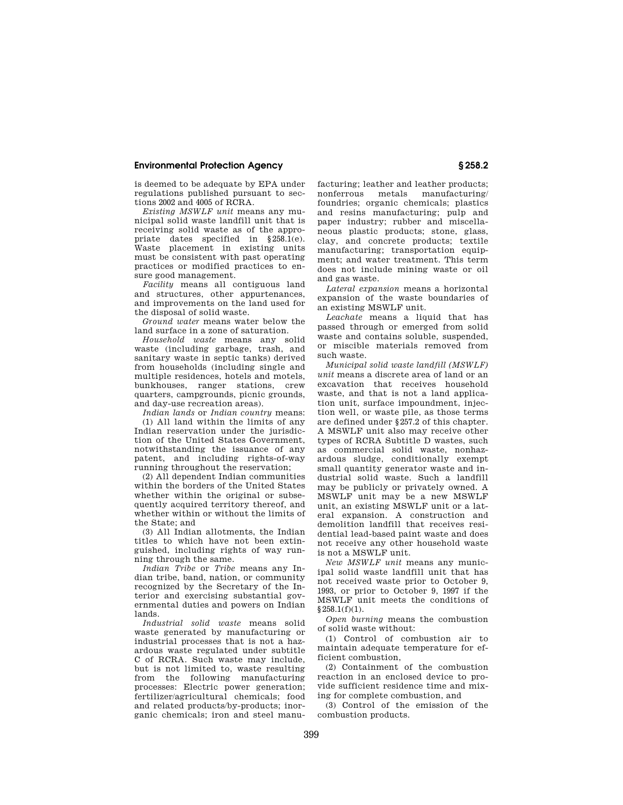# **Environmental Protection Agency § 258.2**

is deemed to be adequate by EPA under regulations published pursuant to sections 2002 and 4005 of RCRA.

*Existing MSWLF unit* means any municipal solid waste landfill unit that is receiving solid waste as of the appropriate dates specified in §258.1(e). Waste placement in existing units must be consistent with past operating practices or modified practices to ensure good management.

*Facility* means all contiguous land and structures, other appurtenances, and improvements on the land used for the disposal of solid waste.

*Ground water* means water below the land surface in a zone of saturation.

*Household waste* means any solid waste (including garbage, trash, and sanitary waste in septic tanks) derived from households (including single and multiple residences, hotels and motels, bunkhouses, ranger stations, crew quarters, campgrounds, picnic grounds, and day-use recreation areas).

*Indian lands* or *Indian country* means: (1) All land within the limits of any Indian reservation under the jurisdiction of the United States Government, notwithstanding the issuance of any patent, and including rights-of-way running throughout the reservation;

(2) All dependent Indian communities within the borders of the United States whether within the original or subsequently acquired territory thereof, and whether within or without the limits of the State; and

(3) All Indian allotments, the Indian titles to which have not been extinguished, including rights of way running through the same.

*Indian Tribe* or *Tribe* means any Indian tribe, band, nation, or community recognized by the Secretary of the Interior and exercising substantial governmental duties and powers on Indian lands.

*Industrial solid waste* means solid waste generated by manufacturing or industrial processes that is not a hazardous waste regulated under subtitle C of RCRA. Such waste may include, but is not limited to, waste resulting from the following manufacturing processes: Electric power generation; fertilizer/agricultural chemicals; food and related products/by-products; inorganic chemicals; iron and steel manufacturing; leather and leather products; nonferrous metals manufacturing/ foundries; organic chemicals; plastics and resins manufacturing; pulp and paper industry; rubber and miscellaneous plastic products; stone, glass, clay, and concrete products; textile manufacturing; transportation equipment; and water treatment. This term does not include mining waste or oil and gas waste.

*Lateral expansion* means a horizontal expansion of the waste boundaries of an existing MSWLF unit.

*Leachate* means a liquid that has passed through or emerged from solid waste and contains soluble, suspended, or miscible materials removed from such waste.

*Municipal solid waste landfill (MSWLF) unit* means a discrete area of land or an excavation that receives household waste, and that is not a land application unit, surface impoundment, injection well, or waste pile, as those terms are defined under §257.2 of this chapter. A MSWLF unit also may receive other types of RCRA Subtitle D wastes, such as commercial solid waste, nonhazardous sludge, conditionally exempt small quantity generator waste and industrial solid waste. Such a landfill may be publicly or privately owned. A MSWLF unit may be a new MSWLF unit, an existing MSWLF unit or a lateral expansion. A construction and demolition landfill that receives residential lead-based paint waste and does not receive any other household waste is not a MSWLF unit.

*New MSWLF unit* means any municipal solid waste landfill unit that has not received waste prior to October 9, 1993, or prior to October 9, 1997 if the MSWLF unit meets the conditions of  $§258.1(f)(1).$ 

*Open burning* means the combustion of solid waste without:

(1) Control of combustion air to maintain adequate temperature for efficient combustion,

(2) Containment of the combustion reaction in an enclosed device to provide sufficient residence time and mixing for complete combustion, and

(3) Control of the emission of the combustion products.